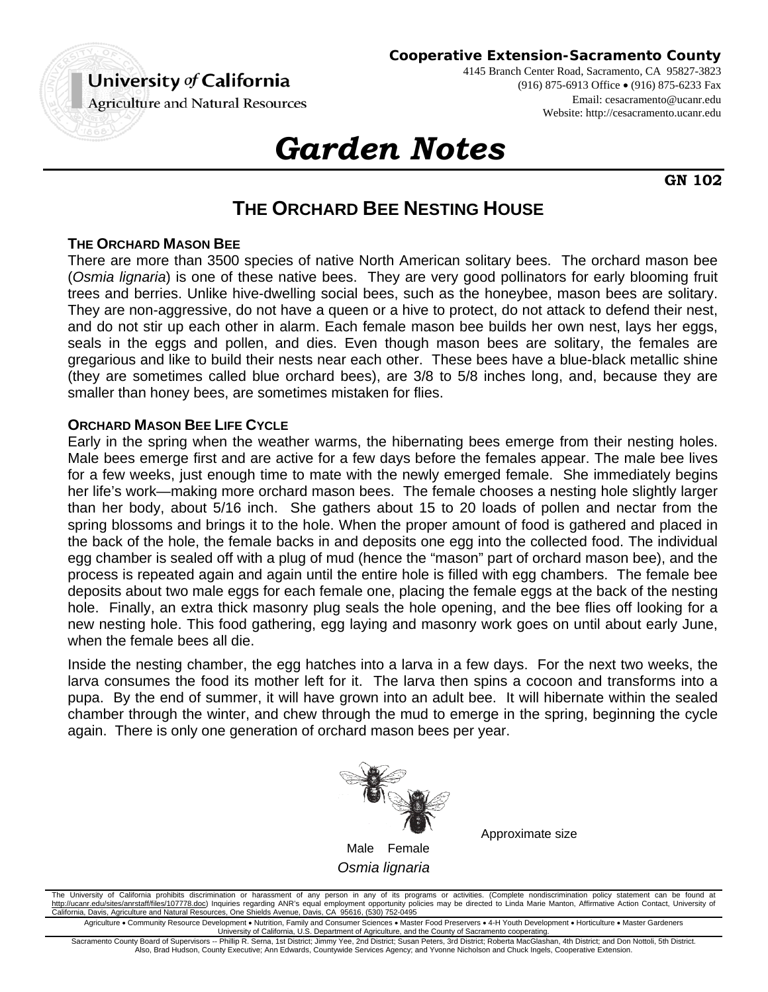# University of California

**Cooperative Extension-Sacramento County**

4145 Branch Center Road, Sacramento, CA 95827-3823

(916) 875-6913 Office (916) 875-6233 Fax

**Agriculture and Natural Resources** 

### Email: cesacramento@ucanr.edu Website: http://cesacramento.ucanr.edu

**GN 102**

## **THE ORCHARD BEE NESTING HOUSE**

*Garden Notes*

#### **THE ORCHARD MASON BEE**

There are more than 3500 species of native North American solitary bees. The orchard mason bee (*Osmia lignaria*) is one of these native bees. They are very good pollinators for early blooming fruit trees and berries. Unlike hive-dwelling social bees, such as the honeybee, mason bees are solitary. They are non-aggressive, do not have a queen or a hive to protect, do not attack to defend their nest, and do not stir up each other in alarm. Each female mason bee builds her own nest, lays her eggs, seals in the eggs and pollen, and dies. Even though mason bees are solitary, the females are gregarious and like to build their nests near each other. These bees have a blue-black metallic shine (they are sometimes called blue orchard bees), are 3/8 to 5/8 inches long, and, because they are smaller than honey bees, are sometimes mistaken for flies.

#### **ORCHARD MASON BEE LIFE CYCLE**

Early in the spring when the weather warms, the hibernating bees emerge from their nesting holes. Male bees emerge first and are active for a few days before the females appear. The male bee lives for a few weeks, just enough time to mate with the newly emerged female. She immediately begins her life's work—making more orchard mason bees. The female chooses a nesting hole slightly larger than her body, about 5/16 inch. She gathers about 15 to 20 loads of pollen and nectar from the spring blossoms and brings it to the hole. When the proper amount of food is gathered and placed in the back of the hole, the female backs in and deposits one egg into the collected food. The individual egg chamber is sealed off with a plug of mud (hence the "mason" part of orchard mason bee), and the process is repeated again and again until the entire hole is filled with egg chambers. The female bee deposits about two male eggs for each female one, placing the female eggs at the back of the nesting hole. Finally, an extra thick masonry plug seals the hole opening, and the bee flies off looking for a new nesting hole. This food gathering, egg laying and masonry work goes on until about early June, when the female bees all die.

Inside the nesting chamber, the egg hatches into a larva in a few days. For the next two weeks, the larva consumes the food its mother left for it. The larva then spins a cocoon and transforms into a pupa. By the end of summer, it will have grown into an adult bee. It will hibernate within the sealed chamber through the winter, and chew through the mud to emerge in the spring, beginning the cycle again. There is only one generation of orchard mason bees per year.



Approximate size

The University of California prohibits discrimination or harassment of any person in any of its programs or activities. (Complete nondiscrimination policy statement can be found at <u>http://ucanr.edu/sites/anrstaff/files/107778.doc</u>) Inquiries regarding ANR's equal employment opportunity policies may be directed to Linda Marie Manton, Affirmative Action Contact, University of<br>California, Davis, Agricu

Agriculture • Community Resource Development • Nutrition, Family and Consumer Sciences • Master Food Preservers • 4-H Youth Development • Horticulture • Master Gardeners University of California, U.S. Department of Agriculture, and the County of Sacramento cooperating.

Sacramento County Board of Supervisors -- Phillip R. Serna, 1st District; Jimmy Yee, 2nd District; Susan Peters, 3rd District; Roberta MacGlashan, 4th District; and Don Nottoli, 5th District. Also, Brad Hudson, County Executive; Ann Edwards, Countywide Services Agency; and Yvonne Nicholson and Chuck Ingels, Cooperative Extension.